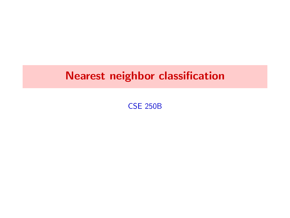CSE 250B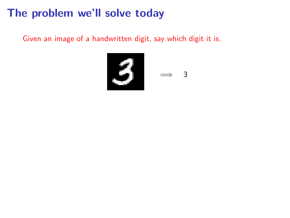#### The problem we'll solve today

Given an image of a handwritten digit, say which digit it is.

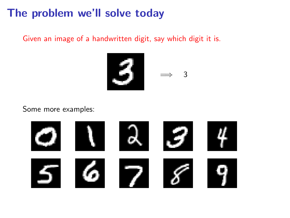#### The problem we'll solve today

Given an image of a handwritten digit, say which digit it is.



Some more examples:

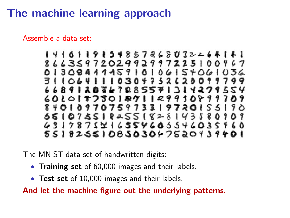# The machine learning approach

Assemble a data set:

The MNIST data set of handwritten digits:

- Training set of 60,000 images and their labels.
- Test set of 10,000 images and their labels.

And let the machine figure out the underlying patterns.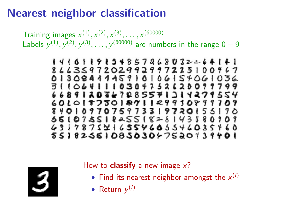Training images  $x^{(1)}, x^{(2)}, x^{(3)}, \ldots, x^{(60000)}$ Labels  $y^{(1)}, y^{(2)}, y^{(3)}, \ldots, y^{(60000)}$  are numbers in the range  $0-9$ 



How to **classify** a new image  $x$ ?

- Find its nearest neighbor amongst the  $x^{(i)}$
- Return  $y^{(i)}$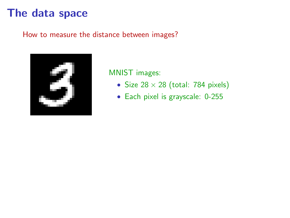### The data space

How to measure the distance between images?



MNIST images:

- Size  $28 \times 28$  (total: 784 pixels)
- Each pixel is grayscale: 0-255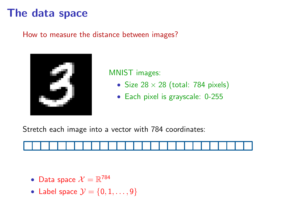## The data space

How to measure the distance between images?



MNIST images:

- Size  $28 \times 28$  (total: 784 pixels)
- Each pixel is grayscale: 0-255

Stretch each image into a vector with 784 coordinates:



- Data space  $\mathcal{X} = \mathbb{R}^{784}$
- Label space  $\mathcal{Y} = \{0, 1, \ldots, 9\}$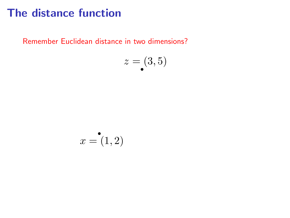# The distance function

Remember Euclidean distance in two dimensions?

$$
z = (3, 5)
$$

$$
x = \mathbf{1}, 2)
$$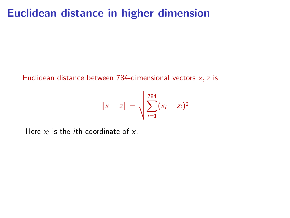#### Euclidean distance in higher dimension

Euclidean distance between 784-dimensional vectors  $x, z$  is

$$
||x-z|| = \sqrt{\sum_{i=1}^{784} (x_i - z_i)^2}
$$

Here  $x_i$  is the *i*th coordinate of  $x$ .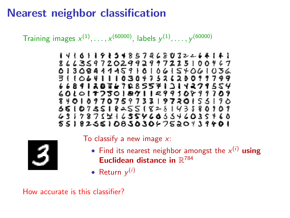Training images  $x^{(1)},...,x^{(60000)}$ , labels  $y^{(1)},...,y^{(60000)}$ 

1416119154857268032264141 8663597202992997225100467 0130841115910106154061036 3110641110304752628099799 6689120847285571314279554 6010187801871129910899709 8401097075973319720155190 5610755182551828143880101 4317875716554605546035460 5518255108503047520439401

To classify a new image  $x$ :

- Find its nearest neighbor amongst the  $x^{(i)}$  using Euclidean distance in  $\mathbb{R}^{784}$
- Return  $y^{(i)}$

How accurate is this classifier?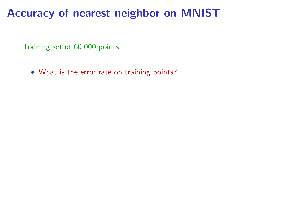Training set of 60,000 points.

• What is the error rate on training points?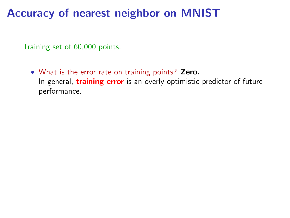Training set of 60,000 points.

• What is the error rate on training points? Zero. In general, **training error** is an overly optimistic predictor of future performance.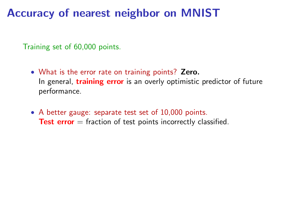- What is the error rate on training points? Zero. In general, **training error** is an overly optimistic predictor of future performance.
- A better gauge: separate test set of 10,000 points. **Test error**  $=$  fraction of test points incorrectly classified.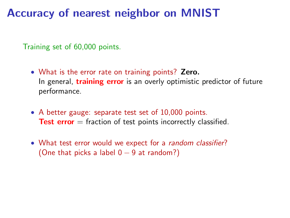- What is the error rate on training points? Zero. In general, **training error** is an overly optimistic predictor of future performance.
- A better gauge: separate test set of 10,000 points. **Test error**  $=$  fraction of test points incorrectly classified.
- What test error would we expect for a random classifier? (One that picks a label  $0 - 9$  at random?)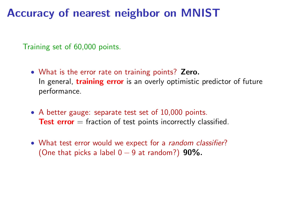- What is the error rate on training points? Zero. In general, **training error** is an overly optimistic predictor of future performance.
- A better gauge: separate test set of 10,000 points. **Test error**  $=$  fraction of test points incorrectly classified.
- What test error would we expect for a random classifier? (One that picks a label  $0 - 9$  at random?) 90%.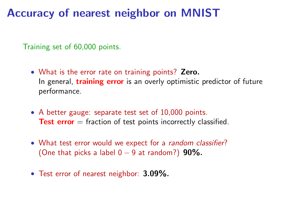- What is the error rate on training points? Zero. In general, **training error** is an overly optimistic predictor of future performance.
- A better gauge: separate test set of 10,000 points. **Test error**  $=$  fraction of test points incorrectly classified.
- What test error would we expect for a random classifier? (One that picks a label  $0 - 9$  at random?) 90%.
- Test error of nearest neighbor: 3.09%.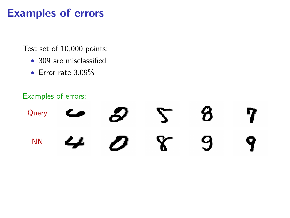# Examples of errors

Test set of 10,000 points:

- 309 are misclassified
- Error rate 3.09%

#### Examples of errors:

|  | Query $\epsilon$ $\beta$ $\zeta$ $\beta$ $\eta$                                                                 |  |  |
|--|-----------------------------------------------------------------------------------------------------------------|--|--|
|  | $M$ $\boldsymbol{\omega}$ $\boldsymbol{\omega}$ $\boldsymbol{\chi}$ $\boldsymbol{\omega}$ $\boldsymbol{\gamma}$ |  |  |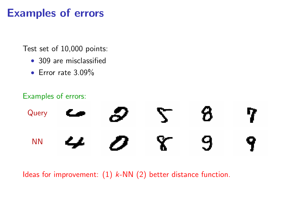# Examples of errors

Test set of 10,000 points:

- 309 are misclassified
- Error rate 3.09%

#### Examples of errors:

|  | Query $\epsilon$ $\beta$ $\zeta$ $\beta$ $\eta$                                                                 |  |  |
|--|-----------------------------------------------------------------------------------------------------------------|--|--|
|  | $M$ $\boldsymbol{\omega}$ $\boldsymbol{\omega}$ $\boldsymbol{\chi}$ $\boldsymbol{\omega}$ $\boldsymbol{\gamma}$ |  |  |

Ideas for improvement:  $(1)$  k-NN  $(2)$  better distance function.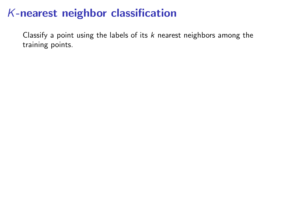Classify a point using the labels of its  $k$  nearest neighbors among the training points.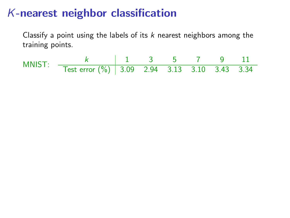Classify a point using the labels of its  $k$  nearest neighbors among the training points.

$$
\text{MNIST:} \quad \begin{array}{c|cccccc} k & 1 & 3 & 5 & 7 & 9 & 11 \\ \hline \text{Test error (\%)} & 3.09 & 2.94 & 3.13 & 3.10 & 3.43 & 3.34 \\ \end{array}
$$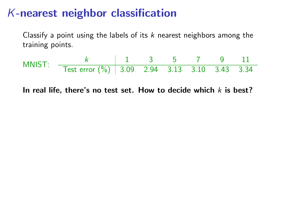Classify a point using the labels of its  $k$  nearest neighbors among the training points.

$$
\text{MNIST:} \quad \frac{k}{\text{Test error } (\%)} \quad \frac{1}{3.09} \quad \frac{3}{2.94} \quad \frac{5}{3.13} \quad \frac{7}{3.10} \quad \frac{9}{3.43} \quad \frac{11}{3.34}
$$

In real life, there's no test set. How to decide which  $k$  is best?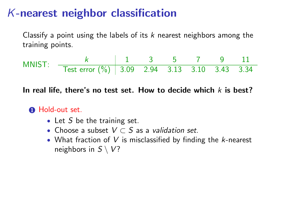Classify a point using the labels of its  $k$  nearest neighbors among the training points.

$$
\text{MNIST:} \quad \frac{k}{\text{Test error } (\%)} \quad \frac{1}{3.09} \quad \frac{3}{2.94} \quad \frac{5}{3.13} \quad \frac{7}{3.10} \quad \frac{9}{3.43} \quad \frac{11}{3.34}
$$

In real life, there's no test set. How to decide which  $k$  is best?

#### **1** Hold-out set.

- Let  $S$  be the training set.
- Choose a subset  $V \subset S$  as a validation set.
- What fraction of  $V$  is misclassified by finding the  $k$ -nearest neighbors in  $S \setminus V$ ?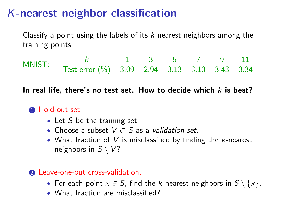Classify a point using the labels of its  $k$  nearest neighbors among the training points.

$$
\text{MNIST:} \quad \begin{array}{c|cccccc} k & 1 & 3 & 5 & 7 & 9 & 11 \\ \hline \text{Test error (\%)} & 3.09 & 2.94 & 3.13 & 3.10 & 3.43 & 3.34 \\ \end{array}
$$

In real life, there's no test set. How to decide which  $k$  is best?

#### **1** Hold-out set.

- Let  $S$  be the training set.
- Choose a subset  $V \subset S$  as a validation set.
- What fraction of  $V$  is misclassified by finding the  $k$ -nearest neighbors in  $S \setminus V$ ?

#### 2 Leave-one-out cross-validation.

- For each point  $x \in S$ , find the k-nearest neighbors in  $S \setminus \{x\}$ .
- What fraction are misclassified?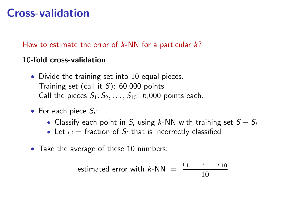# Cross-validation

How to estimate the error of  $k$ -NN for a particular  $k$ ?

#### 10-fold cross-validation

- Divide the training set into 10 equal pieces. Training set (call it  $S$ ): 60,000 points Call the pieces  $S_1, S_2, \ldots, S_{10}$ : 6,000 points each.
- For each piece  $S_i$ :
	- Classify each point in  $S_i$  using k-NN with training set  $S S_i$
	- Let  $\epsilon_i$  = fraction of  $S_i$  that is incorrectly classified
- Take the average of these 10 numbers:

estimated error with 
$$
k\text{-NN} = \frac{\epsilon_1 + \dots + \epsilon_{10}}{10}
$$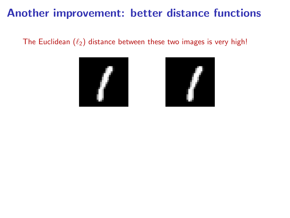### Another improvement: better distance functions

The Euclidean  $(\ell_2)$  distance between these two images is very high!



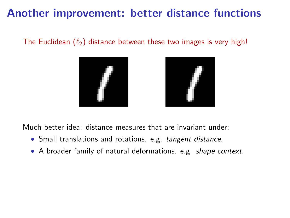# Another improvement: better distance functions

The Euclidean  $(\ell_2)$  distance between these two images is very high!





Much better idea: distance measures that are invariant under:

- Small translations and rotations. e.g. tangent distance.
- A broader family of natural deformations. e.g. shape context.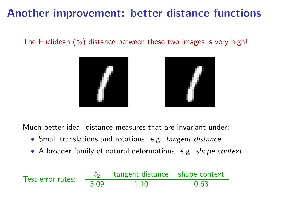# Another improvement: better distance functions

#### The Euclidean  $(\ell_2)$  distance between these two images is very high!





Much better idea: distance measures that are invariant under:

- Small translations and rotations. e.g. tangent distance.
- A broader family of natural deformations. e.g. shape context.

Test error rates:  $\frac{\ell_2}{3.09}$  tangent distance shape context<br>1.10 0.63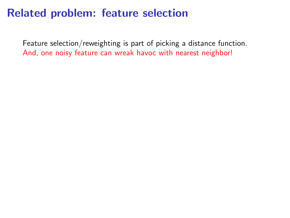### Related problem: feature selection

Feature selection/reweighting is part of picking a distance function. And, one noisy feature can wreak havoc with nearest neighbor!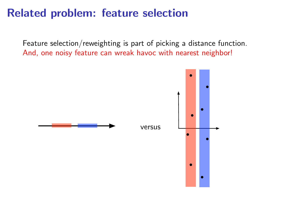# Related problem: feature selection

Feature selection/reweighting is part of picking a distance function. And, one noisy feature can wreak havoc with nearest neighbor!

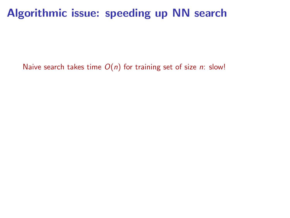### Algorithmic issue: speeding up NN search

Naive search takes time  $O(n)$  for training set of size n: slow!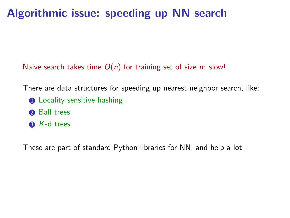# Algorithmic issue: speeding up NN search

Naive search takes time  $O(n)$  for training set of size n: slow!

There are data structures for speeding up nearest neighbor search, like:

- **1** Locality sensitive hashing
- **2** Ball trees
- $\bullet$  K-d trees

These are part of standard Python libraries for NN, and help a lot.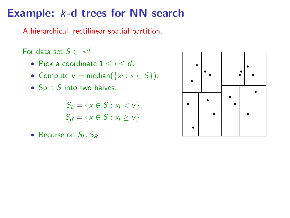### Example: k-d trees for NN search

A hierarchical, rectilinear spatial partition.

For data set  $S \subset \mathbb{R}^d$ :

- Pick a coordinate  $1 \le i \le d$ .
- Compute  $v = \text{median}(\{x_i : x \in S\})$ .
- Split S into two halves:

$$
S_L = \{x \in S : x_i < v\}
$$
\n
$$
S_R = \{x \in S : x_i \ge v\}
$$

• Recurse on  $S_L$ ,  $S_R$ 

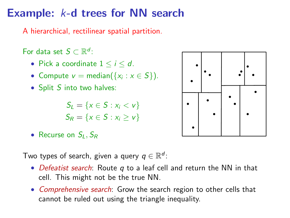# Example: k-d trees for NN search

A hierarchical, rectilinear spatial partition.

For data set  $S \subset \mathbb{R}^d$ :

- Pick a coordinate  $1 \le i \le d$ .
- Compute  $v = \text{median}(\{x_i : x \in S\})$ .
- Split S into two halves:

 $S_1 = \{x \in S : x_i < v\}$  $S_R = \{x \in S : x_i > v\}$ 

• Recurse on  $S_L$ ,  $S_R$ 

Two types of search, given a query  $q \in \mathbb{R}^d$ :

- Defeatist search: Route  $q$  to a leaf cell and return the NN in that cell. This might not be the true NN.
- Comprehensive search: Grow the search region to other cells that cannot be ruled out using the triangle inequality.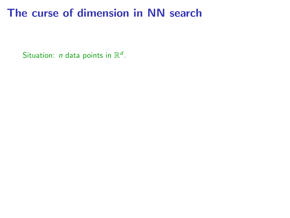Situation: *n* data points in  $\mathbb{R}^d$ .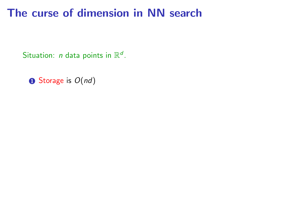Situation: *n* data points in  $\mathbb{R}^d$ .

 $\bullet$  Storage is  $O(nd)$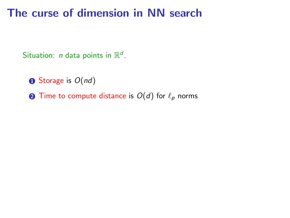Situation: *n* data points in  $\mathbb{R}^d$ .

 $\bullet$  Storage is  $O(nd)$ 

**2** Time to compute distance is  $O(d)$  for  $\ell_p$  norms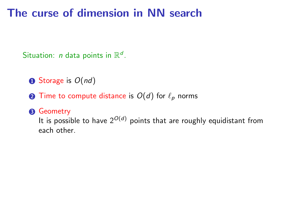Situation: *n* data points in  $\mathbb{R}^d$ .

 $\bullet$  Storage is  $O(nd)$ 

**2** Time to compute distance is  $O(d)$  for  $\ell_p$  norms

#### **8** Geometry

It is possible to have  $2^{O(d)}$  points that are roughly equidistant from each other.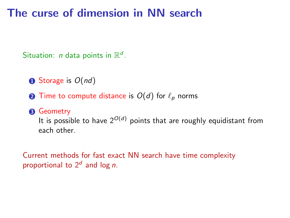Situation: *n* data points in  $\mathbb{R}^d$ .

 $\bullet$  Storage is  $O(nd)$ 

**2** Time to compute distance is  $O(d)$  for  $\ell_p$  norms

#### **8** Geometry

It is possible to have  $2^{O(d)}$  points that are roughly equidistant from each other.

Current methods for fast exact NN search have time complexity proportional to  $2^d$  and log *n*.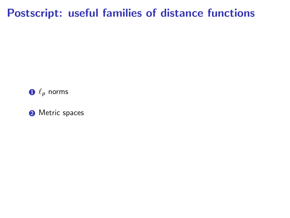# Postscript: useful families of distance functions

 $\mathbf{0} \ell_p$  norms

<sup>2</sup> Metric spaces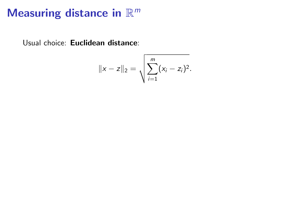# Measuring distance in  $\mathbb{R}^m$

Usual choice: Euclidean distance:

$$
||x-z||_2 = \sqrt{\sum_{i=1}^m (x_i - z_i)^2}.
$$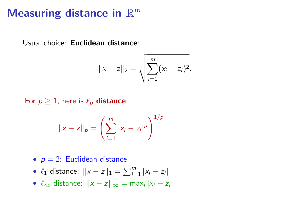# Measuring distance in  $\mathbb{R}^m$

Usual choice: Euclidean distance:

$$
||x-z||_2 = \sqrt{\sum_{i=1}^m (x_i - z_i)^2}.
$$

For  $p \ge 1$ , here is  $\ell_p$  distance:

$$
||x - z||_p = \left(\sum_{i=1}^m |x_i - z_i|^p\right)^{1/p}
$$

- $p = 2$ : Euclidean distance
- $\ell_1$  distance:  $||x z||_1 = \sum_{i=1}^{m} |x_i z_i|$
- $\ell_{\infty}$  distance:  $\|x z\|_{\infty} = \max_{i} |x_i z_i|$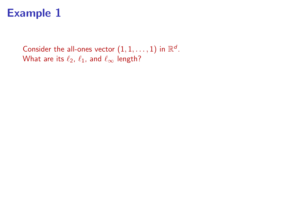# Example 1

Consider the all-ones vector  $(1,1,\ldots,1)$  in  $\mathbb{R}^d$ . What are its  $\ell_2$ ,  $\ell_1$ , and  $\ell_{\infty}$  length?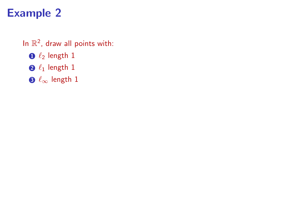# Example 2

#### In  $\mathbb{R}^2$ , draw all points with:

- $\bigcirc$   $\ell_2$  length 1
- $\bigcirc$   $\ell_1$  length 1
- $\bigcirc \ell_{\infty}$  length 1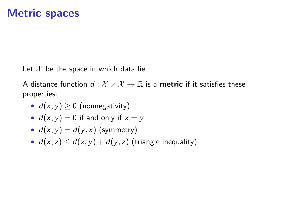Let  $X$  be the space in which data lie.

A distance function  $d: \mathcal{X} \times \mathcal{X} \rightarrow \mathbb{R}$  is a **metric** if it satisfies these properties:

- $d(x, y) \ge 0$  (nonnegativity)
- $d(x, y) = 0$  if and only if  $x = y$
- $d(x, y) = d(y, x)$  (symmetry)
- $d(x, z) \leq d(x, y) + d(y, z)$  (triangle inequality)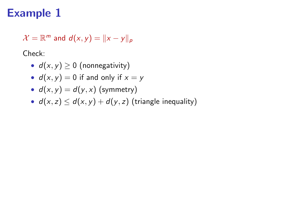# Example 1

 $\mathcal{X} = \mathbb{R}^m$  and  $d(x,y) = ||x - y||_p$ 

Check:

- $d(x, y) \ge 0$  (nonnegativity)
- $d(x, y) = 0$  if and only if  $x = y$
- $d(x, y) = d(y, x)$  (symmetry)
- $d(x, z) \leq d(x, y) + d(y, z)$  (triangle inequality)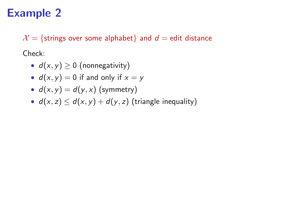# Example 2

 $\mathcal{X} = \{$ strings over some alphabet $\}$  and  $d =$  edit distance

Check:

- $d(x, y) \ge 0$  (nonnegativity)
- $d(x, y) = 0$  if and only if  $x = y$
- $d(x, y) = d(y, x)$  (symmetry)
- $d(x, z) \leq d(x, y) + d(y, z)$  (triangle inequality)